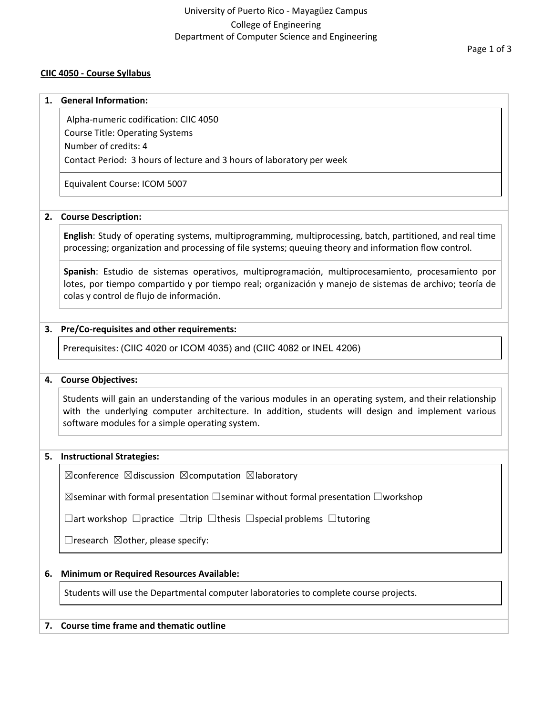## **CIIC 4050 - Course Syllabus**

#### **1. General Information:**

Alpha-numeric codification: CIIC 4050 Course Title: Operating Systems

Number of credits: 4

Contact Period: 3 hours of lecture and 3 hours of laboratory per week

Equivalent Course: ICOM 5007

#### **2. Course Description:**

**English**: Study of operating systems, multiprogramming, multiprocessing, batch, partitioned, and real time processing; organization and processing of file systems; queuing theory and information flow control.

**Spanish**: Estudio de sistemas operativos, multiprogramación, multiprocesamiento, procesamiento por lotes, por tiempo compartido y por tiempo real; organización y manejo de sistemas de archivo; teoría de colas y control de flujo de información.

## **3. Pre/Co-requisites and other requirements:**

Prerequisites: (CIIC 4020 or ICOM 4035) and (CIIC 4082 or INEL 4206)

#### **4. Course Objectives:**

Students will gain an understanding of the various modules in an operating system, and their relationship with the underlying computer architecture. In addition, students will design and implement various software modules for a simple operating system.

#### **5. Instructional Strategies:**

 $\boxtimes$ conference  $\boxtimes$ discussion  $\boxtimes$ computation  $\boxtimes$ laboratory

 $\boxtimes$ seminar with formal presentation  $\Box$ seminar without formal presentation  $\Box$ workshop

☐art workshop ☐practice ☐trip ☐thesis ☐special problems ☐tutoring

 $\Box$ research  $\boxtimes$  other, please specify:

## **6. Minimum or Required Resources Available:**

Students will use the Departmental computer laboratories to complete course projects.

## **7. Course time frame and thematic outline**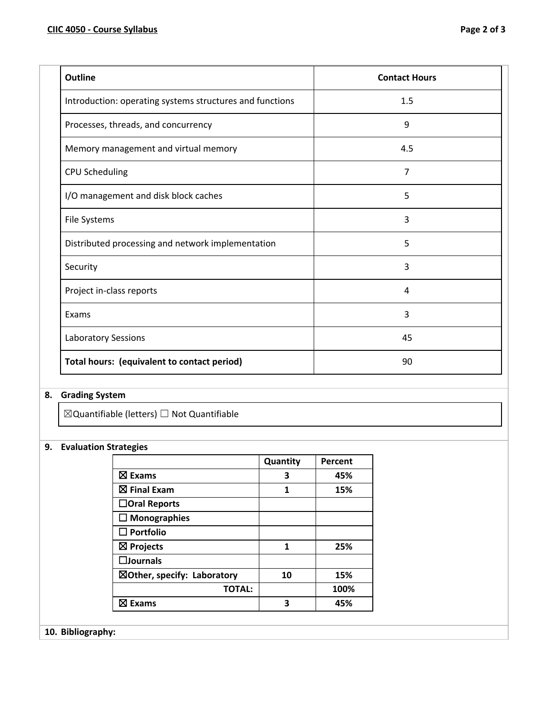| <b>Outline</b>                                           | <b>Contact Hours</b> |
|----------------------------------------------------------|----------------------|
| Introduction: operating systems structures and functions | 1.5                  |
| Processes, threads, and concurrency                      | 9                    |
| Memory management and virtual memory                     | 4.5                  |
| CPU Scheduling                                           | $\overline{7}$       |
| I/O management and disk block caches                     | 5                    |
| File Systems                                             | 3                    |
| Distributed processing and network implementation        | 5                    |
| Security                                                 | 3                    |
| Project in-class reports                                 | 4                    |
| Exams                                                    | 3                    |
| <b>Laboratory Sessions</b>                               | 45                   |
| Total hours: (equivalent to contact period)              | 90                   |

# **8. Grading System**

 $\boxtimes$ Quantifiable (letters)  $\Box$  Not Quantifiable

## **9. Evaluation Strategies**

|                                        | Quantity | Percent |
|----------------------------------------|----------|---------|
| $\boxtimes$ Exams                      | 3        | 45%     |
| $\boxtimes$ Final Exam                 | 1        | 15%     |
| $\Box$ Oral Reports                    |          |         |
| $\Box$ Monographies                    |          |         |
| $\square$ Portfolio                    |          |         |
| $\boxtimes$ Projects                   | 1        | 25%     |
| $\square$ Journals                     |          |         |
| $\boxtimes$ Other, specify: Laboratory | 10       | 15%     |
| <b>TOTAL:</b>                          |          | 100%    |
| ⊠ Exams                                | 3        | 45%     |

## **10. Bibliography:**